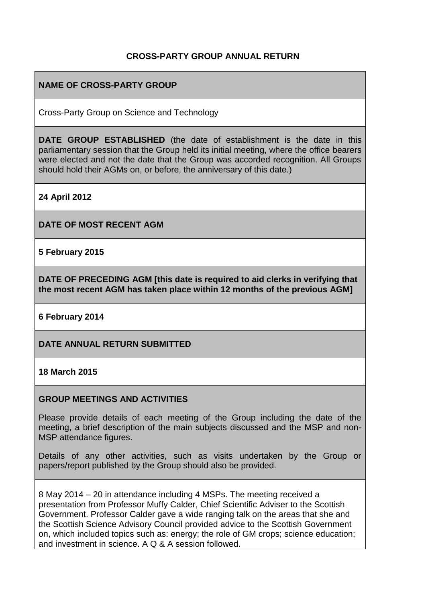### **CROSS-PARTY GROUP ANNUAL RETURN**

### **NAME OF CROSS-PARTY GROUP**

Cross-Party Group on Science and Technology

**DATE GROUP ESTABLISHED** (the date of establishment is the date in this parliamentary session that the Group held its initial meeting, where the office bearers were elected and not the date that the Group was accorded recognition. All Groups should hold their AGMs on, or before, the anniversary of this date.)

**24 April 2012**

**DATE OF MOST RECENT AGM**

**5 February 2015**

**DATE OF PRECEDING AGM [this date is required to aid clerks in verifying that the most recent AGM has taken place within 12 months of the previous AGM]**

**6 February 2014**

**DATE ANNUAL RETURN SUBMITTED**

**18 March 2015**

#### **GROUP MEETINGS AND ACTIVITIES**

Please provide details of each meeting of the Group including the date of the meeting, a brief description of the main subjects discussed and the MSP and non-MSP attendance figures.

Details of any other activities, such as visits undertaken by the Group or papers/report published by the Group should also be provided.

8 May 2014 – 20 in attendance including 4 MSPs. The meeting received a presentation from Professor Muffy Calder, Chief Scientific Adviser to the Scottish Government. Professor Calder gave a wide ranging talk on the areas that she and the Scottish Science Advisory Council provided advice to the Scottish Government on, which included topics such as: energy; the role of GM crops; science education; and investment in science. A Q & A session followed.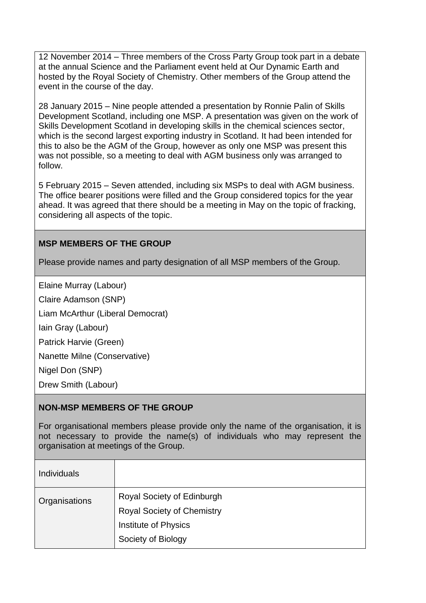12 November 2014 – Three members of the Cross Party Group took part in a debate at the annual Science and the Parliament event held at Our Dynamic Earth and hosted by the Royal Society of Chemistry. Other members of the Group attend the event in the course of the day.

28 January 2015 – Nine people attended a presentation by Ronnie Palin of Skills Development Scotland, including one MSP. A presentation was given on the work of Skills Development Scotland in developing skills in the chemical sciences sector, which is the second largest exporting industry in Scotland. It had been intended for this to also be the AGM of the Group, however as only one MSP was present this was not possible, so a meeting to deal with AGM business only was arranged to follow.

5 February 2015 – Seven attended, including six MSPs to deal with AGM business. The office bearer positions were filled and the Group considered topics for the year ahead. It was agreed that there should be a meeting in May on the topic of fracking, considering all aspects of the topic.

## **MSP MEMBERS OF THE GROUP**

Please provide names and party designation of all MSP members of the Group.

Elaine Murray (Labour)

Claire Adamson (SNP)

Liam McArthur (Liberal Democrat)

Iain Gray (Labour)

Patrick Harvie (Green)

Nanette Milne (Conservative)

Nigel Don (SNP)

Drew Smith (Labour)

#### **NON-MSP MEMBERS OF THE GROUP**

For organisational members please provide only the name of the organisation, it is not necessary to provide the name(s) of individuals who may represent the organisation at meetings of the Group.

| <b>Individuals</b> |                                                                                                               |
|--------------------|---------------------------------------------------------------------------------------------------------------|
| Organisations      | Royal Society of Edinburgh<br><b>Royal Society of Chemistry</b><br>Institute of Physics<br>Society of Biology |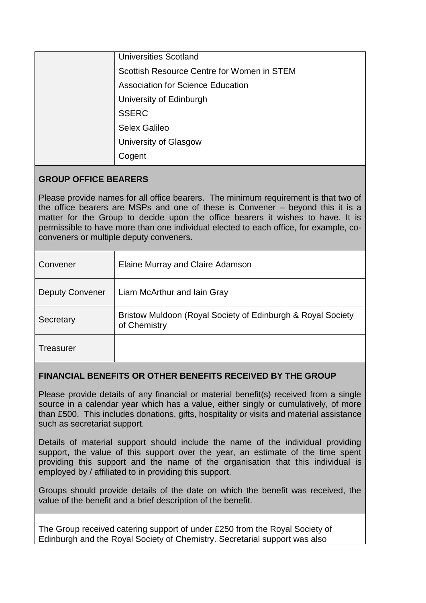| <b>Universities Scotland</b>               |
|--------------------------------------------|
| Scottish Resource Centre for Women in STEM |
| <b>Association for Science Education</b>   |
| University of Edinburgh                    |
| <b>SSERC</b>                               |
| Selex Galileo                              |
| University of Glasgow                      |
| Cogent                                     |

# **GROUP OFFICE BEARERS**

Please provide names for all office bearers. The minimum requirement is that two of the office bearers are MSPs and one of these is Convener – beyond this it is a matter for the Group to decide upon the office bearers it wishes to have. It is permissible to have more than one individual elected to each office, for example, coconveners or multiple deputy conveners.

| Convener               | Elaine Murray and Claire Adamson                                            |
|------------------------|-----------------------------------------------------------------------------|
| <b>Deputy Convener</b> | Liam McArthur and Iain Gray                                                 |
| Secretary              | Bristow Muldoon (Royal Society of Edinburgh & Royal Society<br>of Chemistry |
| Treasurer              |                                                                             |

## **FINANCIAL BENEFITS OR OTHER BENEFITS RECEIVED BY THE GROUP**

Please provide details of any financial or material benefit(s) received from a single source in a calendar year which has a value, either singly or cumulatively, of more than £500. This includes donations, gifts, hospitality or visits and material assistance such as secretariat support.

Details of material support should include the name of the individual providing support, the value of this support over the year, an estimate of the time spent providing this support and the name of the organisation that this individual is employed by / affiliated to in providing this support.

Groups should provide details of the date on which the benefit was received, the value of the benefit and a brief description of the benefit.

The Group received catering support of under £250 from the Royal Society of Edinburgh and the Royal Society of Chemistry. Secretarial support was also